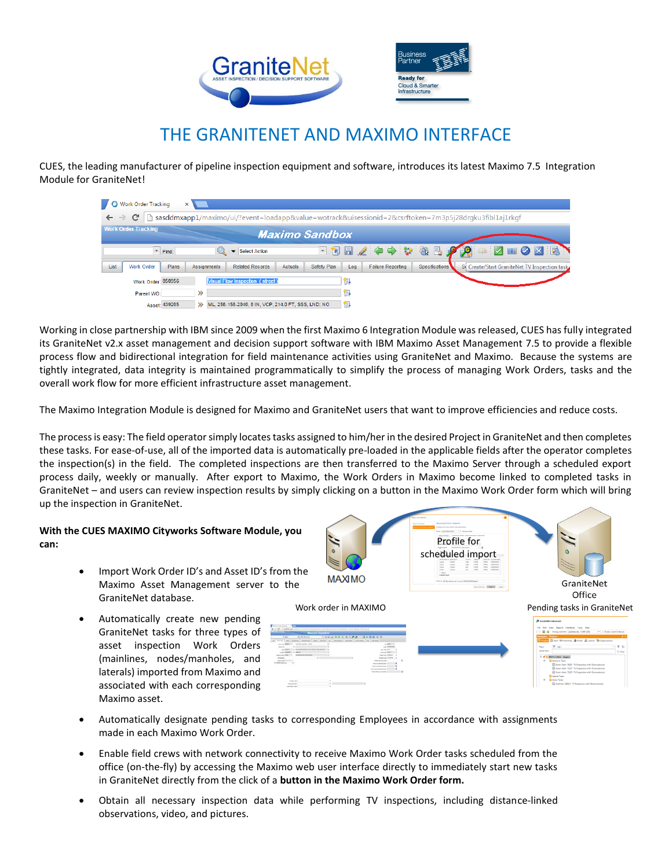

## THE GRANITENET AND MAXIMO INTERFACE

CUES, the leading manufacturer of pipeline inspection equipment and software, introduces its latest Maximo 7.5 Integration Module for GraniteNet!

| Work Order Tracking<br>70<br>$\mathbb{X}$                                                                                                   |                                                                      |                                              |                               |                                 |                             |                                               |
|---------------------------------------------------------------------------------------------------------------------------------------------|----------------------------------------------------------------------|----------------------------------------------|-------------------------------|---------------------------------|-----------------------------|-----------------------------------------------|
| sasddmxapp1/maximo/ui/?event=loadapp&value=wotrack&uisessionid=2&csrftoken=7m3p5j28drqku3fibl1aj1rkqf<br>C<br>$\leftarrow$<br>$\Rightarrow$ |                                                                      |                                              |                               |                                 |                             |                                               |
| <b>Work Order Tracking</b><br><b>Maximo Sandbox</b>                                                                                         |                                                                      |                                              |                               |                                 |                             |                                               |
|                                                                                                                                             | $\overline{\phantom{a}}$ Find:                                       | Select Action                                |                               |                                 |                             | ER EZO DE PRIA E PRIA EN                      |
| List                                                                                                                                        | <b>Work Order</b><br><b>Plans</b>                                    | <b>Assignments</b><br><b>Related Records</b> | <b>Actuals</b><br>Safety Plan | <b>Failure Reporting</b><br>Log | Specifications <sup>1</sup> | Si Create/Start GraniteNet TV Inspection task |
|                                                                                                                                             | <b>Visual Flow Inspection (street)</b><br>Work Order: 850956         |                                              |                               |                                 |                             |                                               |
|                                                                                                                                             | Parent WO:                                                           | $\rightarrow$                                |                               |                                 |                             |                                               |
|                                                                                                                                             | ML, 258-158-2040, 8 IN, VCP, 214.0 FT, SSS, LND: NO<br>Asset: 439205 |                                              |                               | 课                               |                             |                                               |

Working in close partnership with IBM since 2009 when the first Maximo 6 Integration Module was released, CUES has fully integrated its GraniteNet v2.x asset management and decision support software with IBM Maximo Asset Management 7.5 to provide a flexible process flow and bidirectional integration for field maintenance activities using GraniteNet and Maximo. Because the systems are tightly integrated, data integrity is maintained programmatically to simplify the process of managing Work Orders, tasks and the overall work flow for more efficient infrastructure asset management.

The Maximo Integration Module is designed for Maximo and GraniteNet users that want to improve efficiencies and reduce costs.

The process is easy: The field operator simply locates tasks assigned to him/her in the desired Project in GraniteNet and then completes these tasks. For ease-of-use, all of the imported data is automatically pre-loaded in the applicable fields after the operator completes the inspection(s) in the field. The completed inspections are then transferred to the Maximo Server through a scheduled export process daily, weekly or manually. After export to Maximo, the Work Orders in Maximo become linked to completed tasks in GraniteNet – and users can review inspection results by simply clicking on a button in the Maximo Work Order form which will bring up the inspection in GraniteNet.

## **With the CUES MAXIMO Cityworks Software Module, you can:**

- Import Work Order ID's and Asset ID's from the Maximo Asset Management server to the GraniteNet database.
- Automatically create new pending GraniteNet tasks for three types of asset inspection Work Orders (mainlines, nodes/manholes, and laterals) imported from Maximo and associated with each corresponding Maximo asset.



- Automatically designate pending tasks to corresponding Employees in accordance with assignments made in each Maximo Work Order.
- Enable field crews with network connectivity to receive Maximo Work Order tasks scheduled from the office (on-the-fly) by accessing the Maximo web user interface directly to immediately start new tasks in GraniteNet directly from the click of a **button in the Maximo Work Order form.**
- Obtain all necessary inspection data while performing TV inspections, including distance-linked observations, video, and pictures.